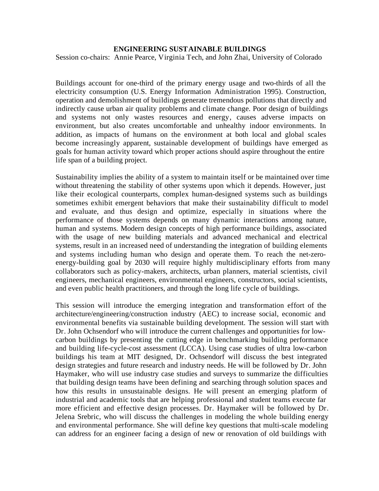## **ENGINEERING SUSTAINABLE BUILDINGS**

Session co-chairs: Annie Pearce, Virginia Tech, and John Zhai, University of Colorado

Buildings account for one-third of the primary energy usage and two-thirds of all the electricity consumption (U.S. Energy Information Administration 1995). Construction, operation and demolishment of buildings generate tremendous pollutions that directly and indirectly cause urban air quality problems and climate change. Poor design of buildings and systems not only wastes resources and energy, causes adverse impacts on environment, but also creates uncomfortable and unhealthy indoor environments. In addition, as impacts of humans on the environment at both local and global scales become increasingly apparent, sustainable development of buildings have emerged as goals for human activity toward which proper actions should aspire throughout the entire life span of a building project.

Sustainability implies the ability of a system to maintain itself or be maintained over time without threatening the stability of other systems upon which it depends. However, just like their ecological counterparts, complex human-designed systems such as buildings sometimes exhibit emergent behaviors that make their sustainability difficult to model and evaluate, and thus design and optimize, especially in situations where the performance of those systems depends on many dynamic interactions among nature, human and systems. Modern design concepts of high performance buildings, associated with the usage of new building materials and advanced mechanical and electrical systems, result in an increased need of understanding the integration of building elements and systems including human who design and operate them. To reach the net-zeroenergy-building goal by 2030 will require highly multidisciplinary efforts from many collaborators such as policy-makers, architects, urban planners, material scientists, civil engineers, mechanical engineers, environmental engineers, constructors, social scientists, and even public health practitioners, and through the long life cycle of buildings.

This session will introduce the emerging integration and transformation effort of the architecture/engineering/construction industry (AEC) to increase social, economic and environmental benefits via sustainable building development. The session will start with Dr. John Ochsendorf who will introduce the current challenges and opportunities for lowcarbon buildings by presenting the cutting edge in benchmarking building performance and building life-cycle-cost assessment (LCCA). Using case studies of ultra low-carbon buildings his team at MIT designed, Dr. Ochsendorf will discuss the best integrated design strategies and future research and industry needs. He will be followed by Dr. John Haymaker, who will use industry case studies and surveys to summarize the difficulties that building design teams have been defining and searching through solution spaces and how this results in unsustainable designs. He will present an emerging platform of industrial and academic tools that are helping professional and student teams execute far more efficient and effective design processes. Dr. Haymaker will be followed by Dr. Jelena Srebric, who will discuss the challenges in modeling the whole building energy and environmental performance. She will define key questions that multi-scale modeling can address for an engineer facing a design of new or renovation of old buildings with